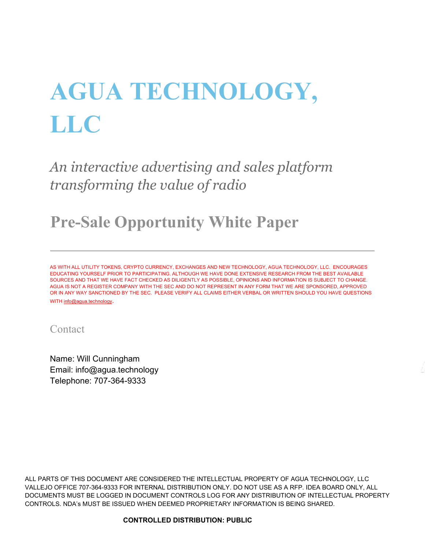# **AGUA TECHNOLOGY, LLC**

*An interactive advertising and sales platform transforming the value of radio*

<span id="page-0-0"></span>**Pre-Sale Opportunity White Paper**

AS WITH ALL UTILITY TOKENS, CRYPTO CURRENCY, EXCHANGES AND NEW TECHNOLOGY, AGUA TECHNOLOGY, LLC. ENCOURAGES EDUCATING YOURSELF PRIOR TO PARTICIPATING. ALTHOUGH WE HAVE DONE EXTENSIVE RESEARCH FROM THE BEST AVAILABLE SOURCES AND THAT WE HAVE FACT CHECKED AS DILIGENTLY AS POSSIBLE, OPINIONS AND INFORMATION IS SUBJECT TO CHANGE. AGUA IS NOT A REGISTER COMPANY WITH THE SEC AND DO NOT REPRESENT IN ANY FORM THAT WE ARE SPONSORED, APPROVED OR IN ANY WAY SANCTIONED BY THE SEC. PLEASE VERIFY ALL CLAIMS EITHER VERBAL OR WRITTEN SHOULD YOU HAVE QUESTIONS WITH [info@agua.technology.](mailto:info@agua.technology)

Contact

Name: Will Cunningham Email: info@agua.technology Telephone: 707-364-9333

ALL PARTS OF THIS DOCUMENT ARE CONSIDERED THE INTELLECTUAL PROPERTY OF AGUA TECHNOLOGY, LLC VALLEJO OFFICE 707-364-9333 FOR INTERNAL DISTRIBUTION ONLY. DO NOT USE AS A RFP. IDEA BOARD ONLY, ALL DOCUMENTS MUST BE LOGGED IN DOCUMENT CONTROLS LOG FOR ANY DISTRIBUTION OF INTELLECTUAL PROPERTY CONTROLS. NDA's MUST BE ISSUED WHEN DEEMED PROPRIETARY INFORMATION IS BEING SHARED.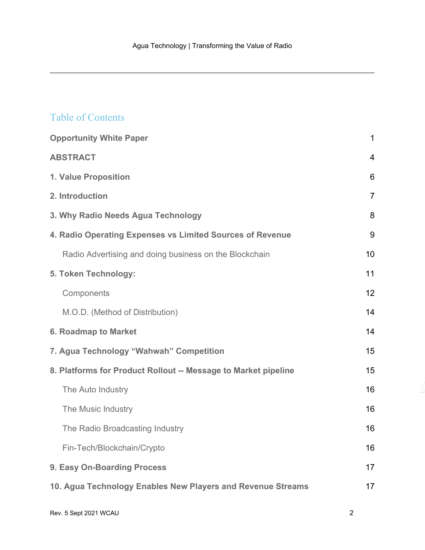#### Table of Contents

| <b>Opportunity White Paper</b>                                 | $\mathbf 1$    |
|----------------------------------------------------------------|----------------|
| <b>ABSTRACT</b>                                                | $\overline{4}$ |
| 1. Value Proposition                                           | 6              |
| 2. Introduction                                                | $\overline{7}$ |
| 3. Why Radio Needs Agua Technology                             | 8              |
| 4. Radio Operating Expenses vs Limited Sources of Revenue      | 9              |
| Radio Advertising and doing business on the Blockchain         | 10             |
| 5. Token Technology:                                           | 11             |
| Components                                                     | 12             |
| M.O.D. (Method of Distribution)                                | 14             |
| <b>6. Roadmap to Market</b>                                    | 14             |
| 7. Agua Technology "Wahwah" Competition                        | 15             |
| 8. Platforms for Product Rollout -- Message to Market pipeline | 15             |
| The Auto Industry                                              | 16             |
| The Music Industry                                             | 16             |
| The Radio Broadcasting Industry                                | 16             |
| Fin-Tech/Blockchain/Crypto                                     | 16             |
| 9. Easy On-Boarding Process                                    | 17             |
| 10. Agua Technology Enables New Players and Revenue Streams    | 17             |
|                                                                |                |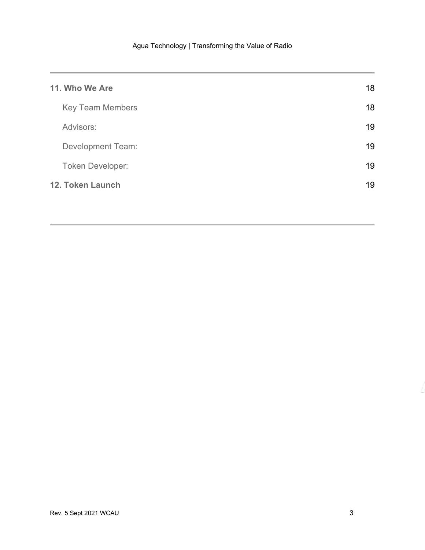| 11. Who We Are           | 18 |
|--------------------------|----|
| <b>Key Team Members</b>  | 18 |
| Advisors:                | 19 |
| <b>Development Team:</b> | 19 |
| <b>Token Developer:</b>  | 19 |
| 12. Token Launch         | 19 |
|                          |    |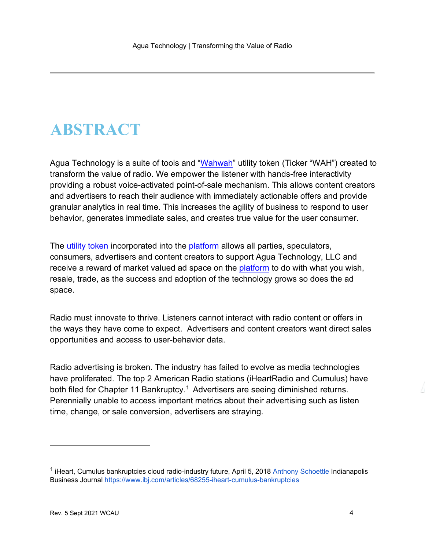### <span id="page-3-0"></span>**ABSTRACT**

Agua Technology is a suite of tools and ["Wahwah"](https://etherscan.io/token/0x0445174b6fa65df016ac975967148d257598ee9f) utility token (Ticker "WAH") created to transform the value of radio. We empower the listener with hands-free interactivity providing a robust voice-activated point-of-sale mechanism. This allows content creators and advertisers to reach their audience with immediately actionable offers and provide granular analytics in real time. This increases the agility of business to respond to user behavior, generates immediate sales, and creates true value for the user consumer.

The [utility token](https://blocklr.com/guides/utility-tokens/) incorporated into the [platform](https://www.educba.com/software-platforms/) allows all parties, speculators, consumers, advertisers and content creators to support Agua Technology, LLC and receive a reward of market valued ad space on the [platform](https://www.educba.com/software-platforms/) to do with what you wish, resale, trade, as the success and adoption of the technology grows so does the ad space.

Radio must innovate to thrive. Listeners cannot interact with radio content or offers in the ways they have come to expect. Advertisers and content creators want direct sales opportunities and access to user-behavior data.

Radio advertising is broken. The industry has failed to evolve as media technologies have proliferated. The top 2 American Radio stations (iHeartRadio and Cumulus) have both filed for Chapter [1](#page-3-1)1 Bankruptcy.<sup>1</sup> Advertisers are seeing diminished returns. Perennially unable to access important metrics about their advertising such as listen time, change, or sale conversion, advertisers are straying.

<span id="page-3-1"></span><sup>&</sup>lt;sup>1</sup> iHeart, Cumulus bankruptcies cloud radio-industry future, April 5, 2018 [Anthony Schoettle](https://www.ibj.com/authors/anthony-schoettle) Indianapolis Business Journal [https://www.ibj.com/articles/68255-iheart-cumulus-bankruptcies](https://www.ibj.com/articles/68255-iheart-cumulus-bankruptcies-cloud-radio-industry-future)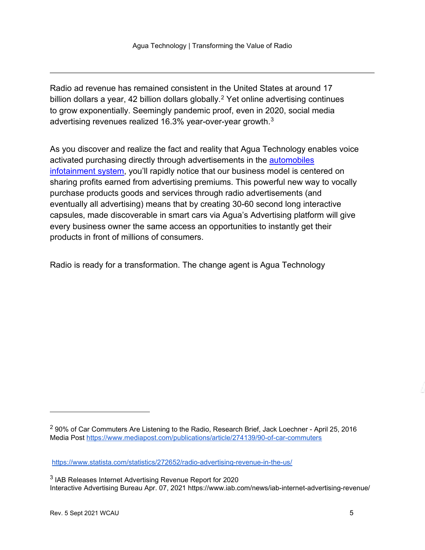Radio ad revenue has remained consistent in the United States at around 17 billion dollars a year, 4[2](#page-4-0) billion dollars globally.<sup>2</sup> Yet online advertising continues to grow exponentially. Seemingly pandemic proof, even in 2020, social media advertising revenues realized 16.3% year-over-year growth.[3](#page-4-1)

As you discover and realize the fact and reality that Agua Technology enables voice activated purchasing directly through advertisements in the **automobiles** [infotainment system,](https://www.einfochips.com/blog/everything-you-need-to-know-about-in-vehicle-infotainment-system/) you'll rapidly notice that our business model is centered on sharing profits earned from advertising premiums. This powerful new way to vocally purchase products goods and services through radio advertisements (and eventually all advertising) means that by creating 30-60 second long interactive capsules, made discoverable in smart cars via Agua's Advertising platform will give every business owner the same access an opportunities to instantly get their products in front of millions of consumers.

Radio is ready for a transformation. The change agent is Agua Technology

<span id="page-4-0"></span> $2$  90% of Car Commuters Are Listening to the Radio, Research Brief, Jack Loechner - April 25, 2016 Media Post [https://www.mediapost.com/publications/article/274139/90-of-car-commuters](https://www.mediapost.com/publications/article/274139/90-of-car-commuters-are-listening-to-the-radio.html)

<https://www.statista.com/statistics/272652/radio-advertising-revenue-in-the-us/>

<span id="page-4-1"></span><sup>&</sup>lt;sup>3</sup> IAB Releases Internet Advertising Revenue Report for 2020 Interactive Advertising Bureau Apr. 07, 2021 https://www.iab.com/news/iab-internet-advertising-revenue/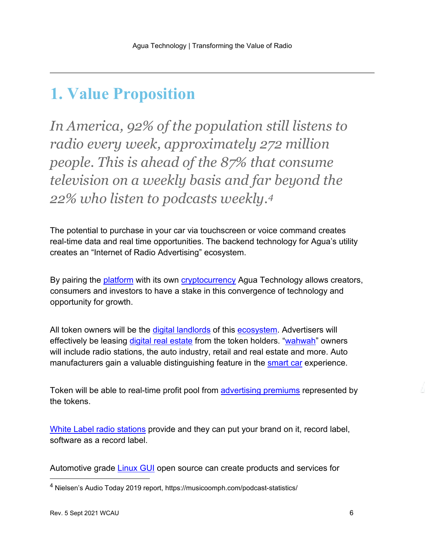### <span id="page-5-0"></span>**1. Value Proposition**

*In America, 92% of the population still listens to radio every week, approximately 272 million people. This is ahead of the 87% that consume television on a weekly basis and far beyond the 22% who listen to podcasts weekly.[4](#page-5-1)*

The potential to purchase in your car via touchscreen or voice command creates real-time data and real time opportunities. The backend technology for Agua's utility creates an "Internet of Radio Advertising" ecosystem.

By pairing the [platform](https://www.educba.com/software-platforms/) with its own [cryptocurrency](https://en.wikipedia.org/wiki/Cryptocurrency) Agua Technology allows creators, consumers and investors to have a stake in this convergence of technology and opportunity for growth.

All token owners will be the [digital landlords](https://www.fatrank.com/what-is-a-digital-landlord/#:%7E:text=A%20digital%20landlord%20is%20an%20individual%20who%20manages,companies%20wishing%20to%20showcase%20their%20services%20and%20products.) of this [ecosystem.](https://en.wikipedia.org/wiki/Business_ecosystem) Advertisers will effectively be leasing [digital real estate](https://www.digitalrealty.com/) from the token holders. ["wahwah"](https://etherscan.io/token/0x0445174b6fa65df016ac975967148d257598ee9f) owners will include radio stations, the auto industry, retail and real estate and more. Auto manufacturers gain a valuable distinguishing feature in the [smart car](https://en.wikipedia.org/wiki/Connected_car) experience.

Token will be able to real-time profit pool from [advertising premiums](https://en.wikipedia.org/wiki/Online_Advertising) represented by the tokens.

[White Label radio stations](https://en.wikipedia.org/wiki/White_label) provide and they can put your brand on it, record label, software as a record label.

Automotive grade **Linux GUI** open source can create products and services for

<span id="page-5-1"></span><sup>4</sup> Nielsen's Audio Today 2019 report, https://musicoomph.com/podcast-statistics/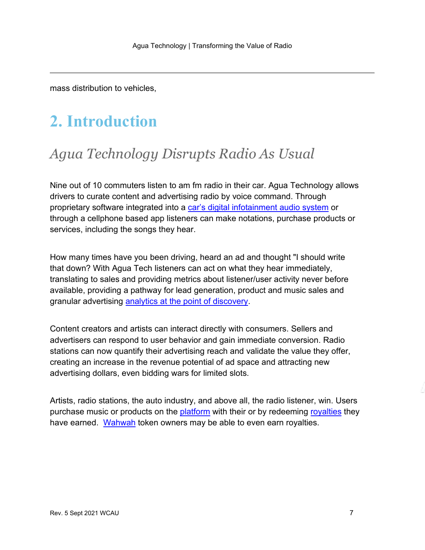mass distribution to vehicles,

# <span id="page-6-0"></span>**2. Introduction**

### *Agua Technology Disrupts Radio As Usual*

Nine out of 10 commuters listen to am fm radio in their car. Agua Technology allows drivers to curate content and advertising radio by voice command. Through proprietary software integrated into a [car's digital infotainment audio system](https://www.einfochips.com/blog/everything-you-need-to-know-about-in-vehicle-infotainment-system/) or through a cellphone based app listeners can make notations, purchase products or services, including the songs they hear.

How many times have you been driving, heard an ad and thought "I should write that down? With Agua Tech listeners can act on what they hear immediately, translating to sales and providing metrics about listener/user activity never before available, providing a pathway for lead generation, product and music sales and granular advertising [analytics at the point of discovery.](https://hbr.org/2013/03/advertising-analytics-20)

Content creators and artists can interact directly with consumers. Sellers and advertisers can respond to user behavior and gain immediate conversion. Radio stations can now quantify their advertising reach and validate the value they offer, creating an increase in the revenue potential of ad space and attracting new advertising dollars, even bidding wars for limited slots.

Artists, radio stations, the auto industry, and above all, the radio listener, win. Users purchase music or products on the **platform** with their or by redeeming [royalties](https://www.investopedia.com/terms/r/royalty.asp#:%7E:text=In%20most%20licensing%20agreements%2C%20royalty%20rates%20are%20defined,and%20innovation%20levels%20of%20the%20products%20in%20question.) they have earned. [Wahwah](https://etherscan.io/token/0x0445174b6fa65df016ac975967148d257598ee9f) token owners may be able to even earn royalties.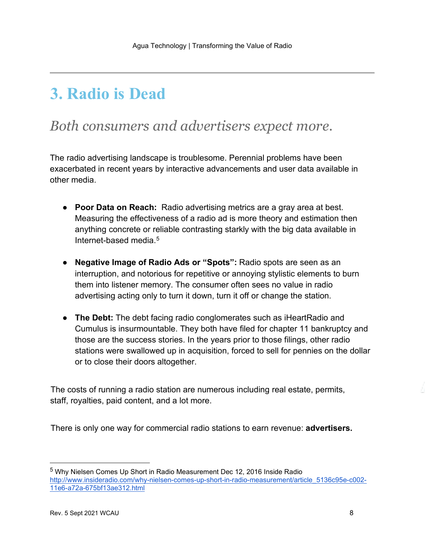# <span id="page-7-0"></span>**3. Radio is Dead**

### *Both consumers and advertisers expect more.*

The radio advertising landscape is troublesome. Perennial problems have been exacerbated in recent years by interactive advancements and user data available in other media.

- **Poor Data on Reach:** Radio advertising metrics are a gray area at best. Measuring the effectiveness of a radio ad is more theory and estimation then anything concrete or reliable contrasting starkly with the big data available in Internet-based media  $5$
- **Negative Image of Radio Ads or "Spots":** Radio spots are seen as an interruption, and notorious for repetitive or annoying stylistic elements to burn them into listener memory. The consumer often sees no value in radio advertising acting only to turn it down, turn it off or change the station.
- **The Debt:** The debt facing radio conglomerates such as iHeartRadio and Cumulus is insurmountable. They both have filed for chapter 11 bankruptcy and those are the success stories. In the years prior to those filings, other radio stations were swallowed up in acquisition, forced to sell for pennies on the dollar or to close their doors altogether.

The costs of running a radio station are numerous including real estate, permits, staff, royalties, paid content, and a lot more.

There is only one way for commercial radio stations to earn revenue: **advertisers.** 

<span id="page-7-1"></span><sup>5</sup> Why Nielsen Comes Up Short in Radio Measurement Dec 12, 2016 Inside Radio [http://www.insideradio.com/why-nielsen-comes-up-short-in-radio-measurement/article\\_5136c95e-c002-](http://www.insideradio.com/why-nielsen-comes-up-short-in-radio-measurement/article_5136c95e-c002-11e6-a72a-675bf13ae312.html) [11e6-a72a-675bf13ae312.html](http://www.insideradio.com/why-nielsen-comes-up-short-in-radio-measurement/article_5136c95e-c002-11e6-a72a-675bf13ae312.html)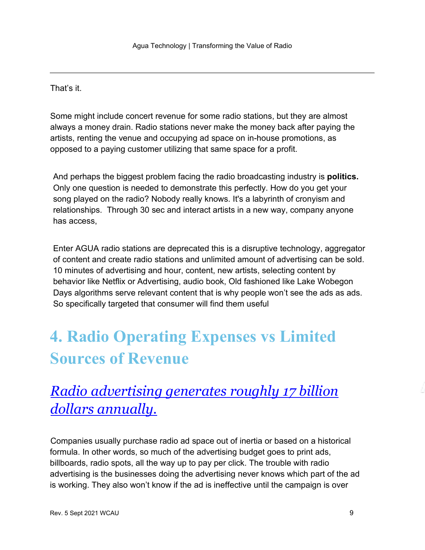That's it.

Some might include concert revenue for some radio stations, but they are almost always a money drain. Radio stations never make the money back after paying the artists, renting the venue and occupying ad space on in-house promotions, as opposed to a paying customer utilizing that same space for a profit.

And perhaps the biggest problem facing the radio broadcasting industry is **politics.** Only one question is needed to demonstrate this perfectly. How do you get your song played on the radio? Nobody really knows. It's a labyrinth of cronyism and relationships. Through 30 sec and interact artists in a new way, company anyone has access,

Enter AGUA radio stations are deprecated this is a disruptive technology, aggregator of content and create radio stations and unlimited amount of advertising can be sold. 10 minutes of advertising and hour, content, new artists, selecting content by behavior like Netflix or Advertising, audio book, Old fashioned like Lake Wobegon Days algorithms serve relevant content that is why people won't see the ads as ads. So specifically targeted that consumer will find them useful

# <span id="page-8-0"></span>**4. Radio Operating Expenses vs Limited Sources of Revenue**

### *[Radio advertising generates roughly 17 billion](https://www.forbes.com/sites/bradadgate/2020/10/09/measuring-the-effectiveness-of-radio-advertising-in-connected-cars/?sh=753296965fc7)  [dollars annually.](https://www.forbes.com/sites/bradadgate/2020/10/09/measuring-the-effectiveness-of-radio-advertising-in-connected-cars/?sh=753296965fc7)*

Companies usually purchase radio ad space out of inertia or based on a historical formula. In other words, so much of the advertising budget goes to print ads, billboards, radio spots, all the way up to pay per click. The trouble with radio advertising is the businesses doing the advertising never knows which part of the ad is working. They also won't know if the ad is ineffective until the campaign is over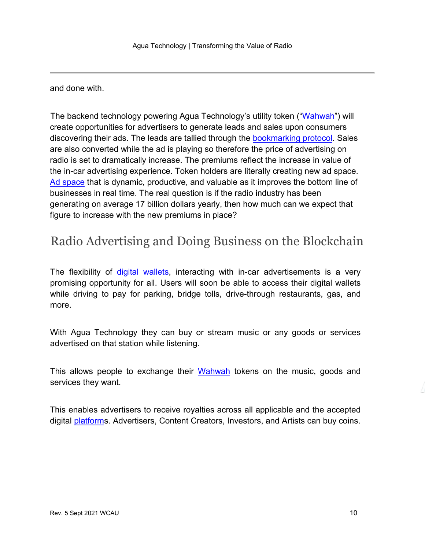and done with.

The backend technology powering Agua Technology's utility token (["Wahwah"](https://etherscan.io/token/0x0445174b6fa65df016ac975967148d257598ee9f)) will create opportunities for advertisers to generate leads and sales upon consumers discovering their ads. The leads are tallied through the [bookmarking protocol.](https://en.wikipedia.org/wiki/Social_bookmarking) Sales are also converted while the ad is playing so therefore the price of advertising on radio is set to dramatically increase. The premiums reflect the increase in value of the in-car advertising experience. Token holders are literally creating new ad space. [Ad space](https://www.marketingterms.com/dictionary/ad_space/) that is dynamic, productive, and valuable as it improves the bottom line of businesses in real time. The real question is if the radio industry has been generating on average 17 billion dollars yearly, then how much can we expect that figure to increase with the new premiums in place?

### <span id="page-9-0"></span>Radio Advertising and Doing Business on the Blockchain

The flexibility of [digital wallets,](https://en.wikipedia.org/wiki/Digital_wallet) interacting with in-car advertisements is a very promising opportunity for all. Users will soon be able to access their digital wallets while driving to pay for parking, bridge tolls, drive-through restaurants, gas, and more.

With Agua Technology they can buy or stream music or any goods or services advertised on that station while listening.

This allows people to exchange their [Wahwah](https://etherscan.io/token/0x0445174b6fa65df016ac975967148d257598ee9f) tokens on the music, goods and services they want.

This enables advertisers to receive royalties across all applicable and the accepted digital [platforms](https://www.educba.com/software-platforms/). Advertisers, Content Creators, Investors, and Artists can buy coins.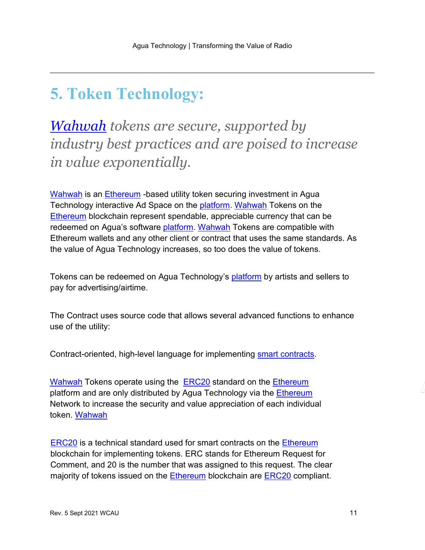## <span id="page-10-0"></span>**5. Token Technology:**

*[Wahwah](https://etherscan.io/token/0x0445174b6fa65df016ac975967148d257598ee9f) tokens are secure, supported by industry best practices and are poised to increase in value exponentially.*

[Wahwah](https://etherscan.io/token/0x0445174b6fa65df016ac975967148d257598ee9f) is an [Ethereum](https://www.coinbase.com/learn/crypto-basics/plp-what-is-ethereum?utm_creative=&cb_device=c&cb_placement=&cb_country=us&cb_city=open&cb_language=en_us&msclkid=8a6b6360607918d608de022eaf7d6a7c&utm_source=bing&utm_medium=cpc&utm_campaign=rt_p_us_w_m_acq_bin_sea_non_Education-Ethereum&utm_term=what%20is%20ethereum&utm_content=what%20is%20ethereum-P) - based utility token securing investment in Agua Technology interactive Ad Space on the [platform.](https://www.educba.com/software-platforms/) [Wahwah](https://etherscan.io/token/0x0445174b6fa65df016ac975967148d257598ee9f) Tokens on the [Ethereum](https://www.coinbase.com/learn/crypto-basics/plp-what-is-ethereum?utm_creative=&cb_device=c&cb_placement=&cb_country=us&cb_city=open&cb_language=en_us&msclkid=8a6b6360607918d608de022eaf7d6a7c&utm_source=bing&utm_medium=cpc&utm_campaign=rt_p_us_w_m_acq_bin_sea_non_Education-Ethereum&utm_term=what%20is%20ethereum&utm_content=what%20is%20ethereum-P) blockchain represent spendable, appreciable currency that can be redeemed on Agua's software [platform.](https://www.educba.com/software-platforms/) [Wahwah](https://etherscan.io/token/0x0445174b6fa65df016ac975967148d257598ee9f) Tokens are compatible with Ethereum wallets and any other client or contract that uses the same standards. As the value of Agua Technology increases, so too does the value of tokens.

Tokens can be redeemed on Agua Technology's [platform](https://www.educba.com/software-platforms/) by artists and sellers to pay for advertising/airtime.

The Contract uses source code that allows several advanced functions to enhance use of the utility:

Contract-oriented, high-level language for implementing [smart contracts.](https://decrypt.co/resources/smart-contracts)

[Wahwah](https://etherscan.io/token/0x0445174b6fa65df016ac975967148d257598ee9f) Tokens operate using the **[ERC20](https://erc20.tech/)** standard on the [Ethereum](https://www.coinbase.com/learn/crypto-basics/plp-what-is-ethereum?utm_creative=&cb_device=c&cb_placement=&cb_country=us&cb_city=open&cb_language=en_us&msclkid=8a6b6360607918d608de022eaf7d6a7c&utm_source=bing&utm_medium=cpc&utm_campaign=rt_p_us_w_m_acq_bin_sea_non_Education-Ethereum&utm_term=what%20is%20ethereum&utm_content=what%20is%20ethereum-P) platform and are only distributed by Agua Technology via the *Ethereum* Network to increase the security and value appreciation of each individual token. [Wahwah](https://etherscan.io/token/0x0445174b6fa65df016ac975967148d257598ee9f)

**[ERC20](https://erc20.tech/)** is a technical standard used for smart contracts on the **Ethereum** blockchain for implementing tokens. ERC stands for Ethereum Request for Comment, and 20 is the number that was assigned to this request. The clear majority of tokens issued on the Ethereum blockchain are [ERC20](https://erc20.tech/) compliant.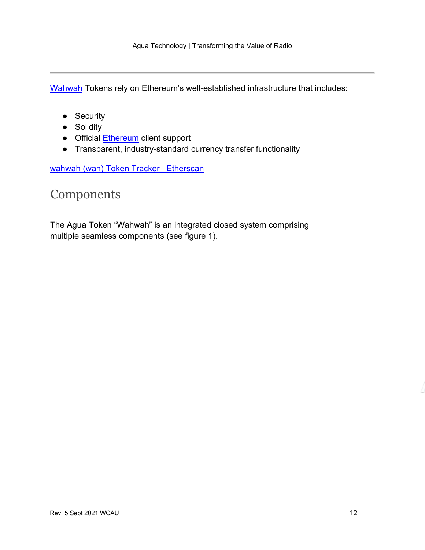[Wahwah](https://etherscan.io/token/0x0445174b6fa65df016ac975967148d257598ee9f) Tokens rely on Ethereum's well-established infrastructure that includes:

- Security
- Solidity
- Official [Ethereum](https://www.coinbase.com/learn/crypto-basics/plp-what-is-ethereum?utm_creative=&cb_device=c&cb_placement=&cb_country=us&cb_city=open&cb_language=en_us&msclkid=8a6b6360607918d608de022eaf7d6a7c&utm_source=bing&utm_medium=cpc&utm_campaign=rt_p_us_w_m_acq_bin_sea_non_Education-Ethereum&utm_term=what%20is%20ethereum&utm_content=what%20is%20ethereum-P) client support
- Transparent, industry-standard currency transfer functionality

[wahwah \(wah\) Token Tracker | Etherscan](https://etherscan.io/token/0x0445174b6fa65df016ac975967148d257598ee9f)

#### <span id="page-11-0"></span>Components

The Agua Token "Wahwah" is an integrated closed system comprising multiple seamless components (see figure 1).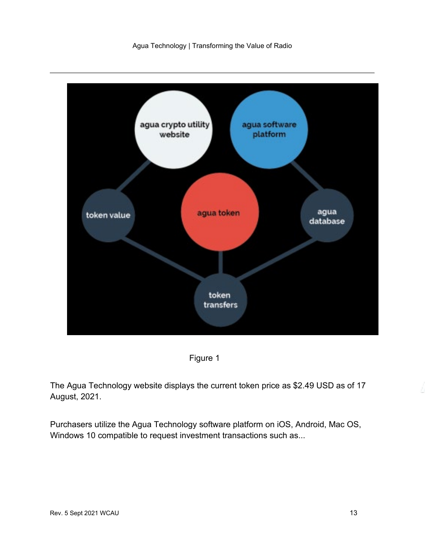

Figure 1

The Agua Technology website displays the current token price as \$2.49 USD as of 17 August, 2021.

Purchasers utilize the Agua Technology software platform on iOS, Android, Mac OS, Windows 10 compatible to request investment transactions such as...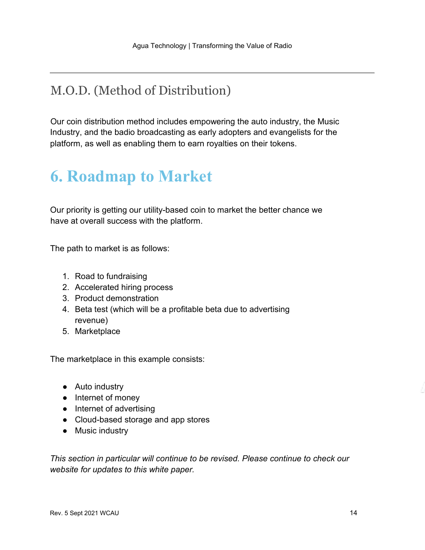### <span id="page-13-0"></span>M.O.D. (Method of Distribution)

Our coin distribution method includes empowering the auto industry, the Music Industry, and the badio broadcasting as early adopters and evangelists for the platform, as well as enabling them to earn royalties on their tokens.

# <span id="page-13-1"></span>**6. Roadmap to Market**

Our priority is getting our utility-based coin to market the better chance we have at overall success with the platform.

The path to market is as follows:

- 1. Road to fundraising
- 2. Accelerated hiring process
- 3. Product demonstration
- 4. Beta test (which will be a profitable beta due to advertising revenue)
- 5. Marketplace

The marketplace in this example consists:

- Auto industry
- Internet of money
- Internet of advertising
- Cloud-based storage and app stores
- Music industry

*This section in particular will continue to be revised. Please continue to check our website for updates to this white paper.*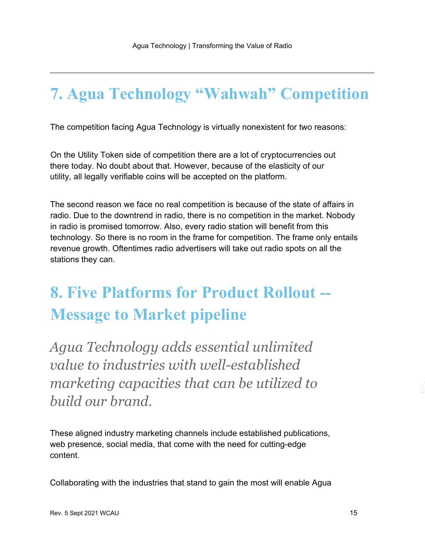# <span id="page-14-0"></span>**7. Agua Technology "Wahwah" Competition**

The competition facing Agua Technology is virtually nonexistent for two reasons:

On the Utility Token side of competition there are a lot of cryptocurrencies out there today. No doubt about that. However, because of the elasticity of our utility, all legally verifiable coins will be accepted on the platform.

The second reason we face no real competition is because of the state of affairs in radio. Due to the downtrend in radio, there is no competition in the market. Nobody in radio is promised tomorrow. Also, every radio station will benefit from this technology. So there is no room in the frame for competition. The frame only entails revenue growth. Oftentimes radio advertisers will take out radio spots on all the stations they can.

# <span id="page-14-1"></span>**8. Five Platforms for Product Rollout -- Message to Market pipeline**

*Agua Technology adds essential unlimited value to industries with well-established marketing capacities that can be utilized to build our brand.*

These aligned industry marketing channels include established publications, web presence, social media, that come with the need for cutting-edge content.

Collaborating with the industries that stand to gain the most will enable Agua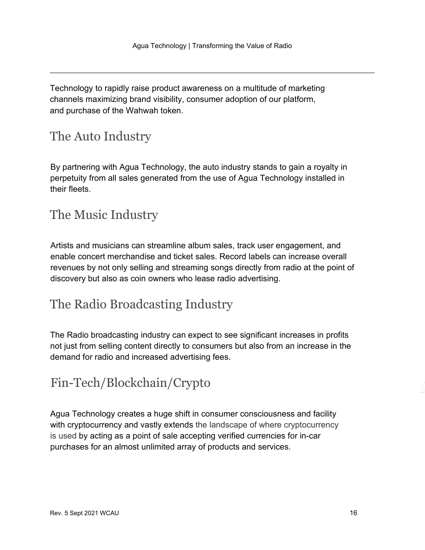Technology to rapidly raise product awareness on a multitude of marketing channels maximizing brand visibility, consumer adoption of our platform, and purchase of the Wahwah token.

### <span id="page-15-0"></span>The Auto Industry

By partnering with Agua Technology, the auto industry stands to gain a royalty in perpetuity from all sales generated from the use of Agua Technology installed in their fleets.

### <span id="page-15-1"></span>The Music Industry

Artists and musicians can streamline album sales, track user engagement, and enable concert merchandise and ticket sales. Record labels can increase overall revenues by not only selling and streaming songs directly from radio at the point of discovery but also as coin owners who lease radio advertising.

### <span id="page-15-2"></span>The Radio Broadcasting Industry

The Radio broadcasting industry can expect to see significant increases in profits not just from selling content directly to consumers but also from an increase in the demand for radio and increased advertising fees.

### <span id="page-15-3"></span>Fin-Tech/Blockchain/Crypto

Agua Technology creates a huge shift in consumer consciousness and facility with cryptocurrency and vastly extends the landscape of where cryptocurrency is used by acting as a point of sale accepting verified currencies for in-car purchases for an almost unlimited array of products and services.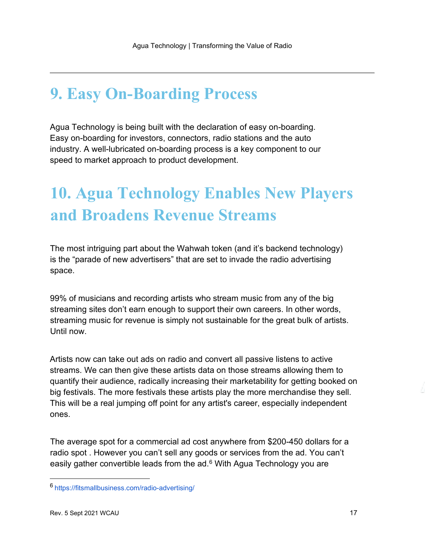### <span id="page-16-0"></span>**9. Easy On-Boarding Process**

Agua Technology is being built with the declaration of easy on-boarding. Easy on-boarding for investors, connectors, radio stations and the auto industry. A well-lubricated on-boarding process is a key component to our speed to market approach to product development.

# <span id="page-16-1"></span>**10. Agua Technology Enables New Players and Broadens Revenue Streams**

The most intriguing part about the Wahwah token (and it's backend technology) is the "parade of new advertisers" that are set to invade the radio advertising space.

99% of musicians and recording artists who stream music from any of the big streaming sites don't earn enough to support their own careers. In other words, streaming music for revenue is simply not sustainable for the great bulk of artists. Until now.

Artists now can take out ads on radio and convert all passive listens to active streams. We can then give these artists data on those streams allowing them to quantify their audience, radically increasing their marketability for getting booked on big festivals. The more festivals these artists play the more merchandise they sell. This will be a real jumping off point for any artist's career, especially independent ones.

The average spot for a commercial ad cost anywhere from \$200-450 dollars for a radio spot . However you can't sell any goods or services from the ad. You can't easily gather convertible leads from the  $ad<sup>6</sup>$  $ad<sup>6</sup>$  $ad<sup>6</sup>$  With Agua Technology you are

<span id="page-16-2"></span><sup>6</sup> https://fitsmallbusiness.com/radio-advertising/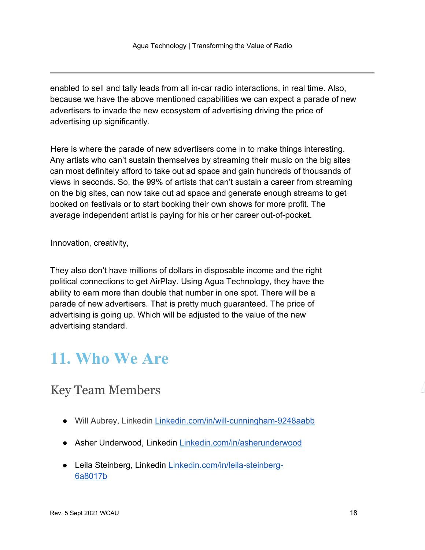enabled to sell and tally leads from all in-car radio interactions, in real time. Also, because we have the above mentioned capabilities we can expect a parade of new advertisers to invade the new ecosystem of advertising driving the price of advertising up significantly.

Here is where the parade of new advertisers come in to make things interesting. Any artists who can't sustain themselves by streaming their music on the big sites can most definitely afford to take out ad space and gain hundreds of thousands of views in seconds. So, the 99% of artists that can't sustain a career from streaming on the big sites, can now take out ad space and generate enough streams to get booked on festivals or to start booking their own shows for more profit. The average independent artist is paying for his or her career out-of-pocket.

Innovation, creativity,

They also don't have millions of dollars in disposable income and the right political connections to get AirPlay. Using Agua Technology, they have the ability to earn more than double that number in one spot. There will be a parade of new advertisers. That is pretty much guaranteed. The price of advertising is going up. Which will be adjusted to the value of the new advertising standard.

### <span id="page-17-0"></span>**11. Who We Are**

### <span id="page-17-1"></span>Key Team Members

- Will Aubrey, Linkedin Linkedin.com/in/will-cunningham-9248aabb
- Asher Underwood, Linkedin Linkedin.com/in/asherunderwood
- Leila Steinberg, Linkedin Linkedin.com/in/leila-steinberg-6a8017b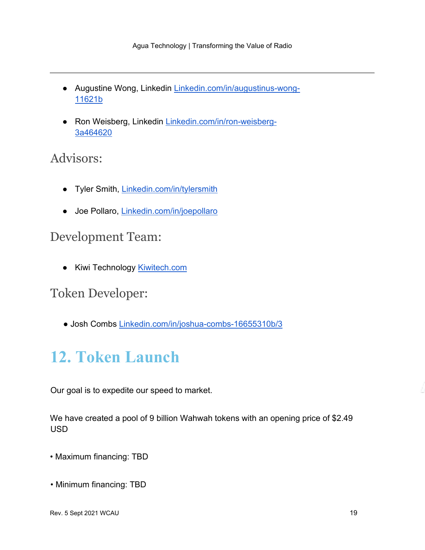- Augustine Wong, Linkedin Linkedin.com/in/augustinus-wong-11621b
- Ron Weisberg, Linkedin Linkedin.com/in/ron-weisberg-3a464620

#### <span id="page-18-0"></span>Advisors:

- Tyler Smith, Linkedin.com/in/tylersmith
- Joe Pollaro, Linkedin.com/in/joepollaro

#### <span id="page-18-1"></span>Development Team:

● Kiwi Technology Kiwitech.com

#### <span id="page-18-2"></span>Token Developer:

● Josh Combs Linkedin.com/in/joshua-combs-16655310b/3

# <span id="page-18-3"></span>**12. Token Launch**

Our goal is to expedite our speed to market.

We have created a pool of 9 billion Wahwah tokens with an opening price of \$2.49 USD

- Maximum financing: TBD
- Minimum financing: TBD